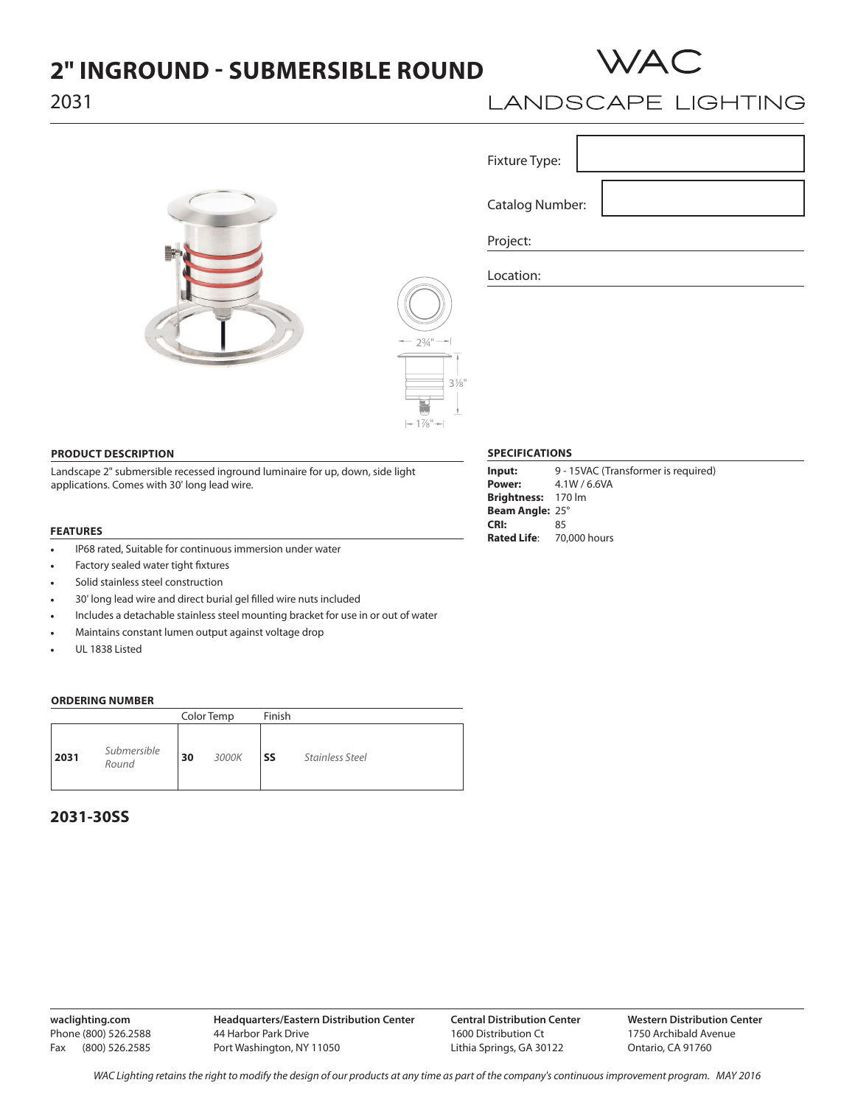# **2" INGROUND - SUBMERSIBLE ROUND**



# 2031





# **LANDSCAPE LIGHTING**

Г

| Fixture Type:          |  |
|------------------------|--|
|                        |  |
| <b>Catalog Number:</b> |  |
| Project:               |  |

Location:

## **PRODUCT DESCRIPTION**

Landscape 2" submersible recessed inground luminaire for up, down, side light applications. Comes with 30' long lead wire.

#### **FEATURES**

- IP68 rated, Suitable for continuous immersion under water
- Factory sealed water tight fixtures
- Solid stainless steel construction
- 30' long lead wire and direct burial gel filled wire nuts included
- Includes a detachable stainless steel mounting bracket for use in or out of water
- Maintains constant lumen output against voltage drop
- UL 1838 Listed

## **ORDERING NUMBER**

|                              | Color Temp |       | Finish    |                        |
|------------------------------|------------|-------|-----------|------------------------|
| Submersible<br>2031<br>Round | 30         | 3000K | <b>SS</b> | <b>Stainless Steel</b> |

## **2031-30SS**

## **SPECIFICATIONS**

| Input:                          | 9 - 15VAC (Transformer is required) |
|---------------------------------|-------------------------------------|
| Power:                          | 4.1W / 6.6VA                        |
| Brightness: 170 lm              |                                     |
| <b>Beam Angle: 25°</b>          |                                     |
| CRI:                            | 85                                  |
| <b>Rated Life:</b> 70,000 hours |                                     |
|                                 |                                     |